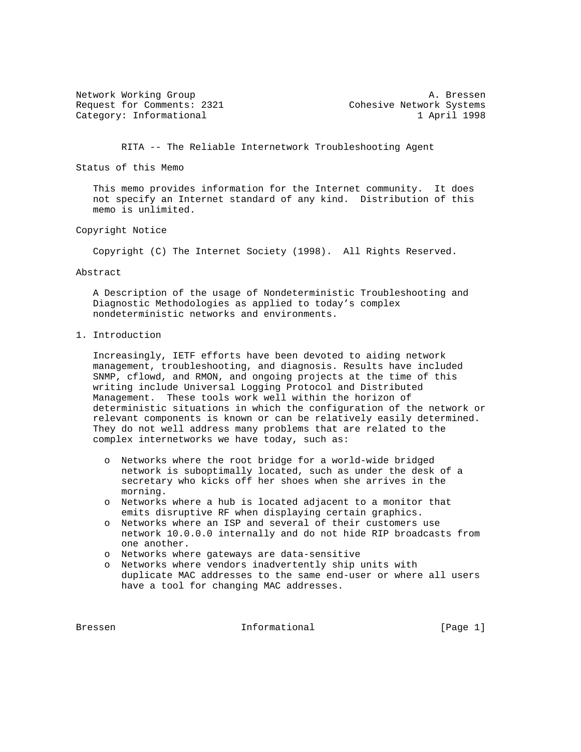Request for Comments: 2321 Cohesive Network Systems Category: Informational 1 April 1998

Network Working Group and A. Bressen

RITA -- The Reliable Internetwork Troubleshooting Agent

Status of this Memo

 This memo provides information for the Internet community. It does not specify an Internet standard of any kind. Distribution of this memo is unlimited.

Copyright Notice

Copyright (C) The Internet Society (1998). All Rights Reserved.

## Abstract

 A Description of the usage of Nondeterministic Troubleshooting and Diagnostic Methodologies as applied to today's complex nondeterministic networks and environments.

1. Introduction

 Increasingly, IETF efforts have been devoted to aiding network management, troubleshooting, and diagnosis. Results have included SNMP, cflowd, and RMON, and ongoing projects at the time of this writing include Universal Logging Protocol and Distributed Management. These tools work well within the horizon of deterministic situations in which the configuration of the network or relevant components is known or can be relatively easily determined. They do not well address many problems that are related to the complex internetworks we have today, such as:

- o Networks where the root bridge for a world-wide bridged network is suboptimally located, such as under the desk of a secretary who kicks off her shoes when she arrives in the morning.
- o Networks where a hub is located adjacent to a monitor that emits disruptive RF when displaying certain graphics.
- o Networks where an ISP and several of their customers use network 10.0.0.0 internally and do not hide RIP broadcasts from one another.
- o Networks where gateways are data-sensitive
- o Networks where vendors inadvertently ship units with duplicate MAC addresses to the same end-user or where all users have a tool for changing MAC addresses.

Bressen 11 Informational 1996 [Page 1]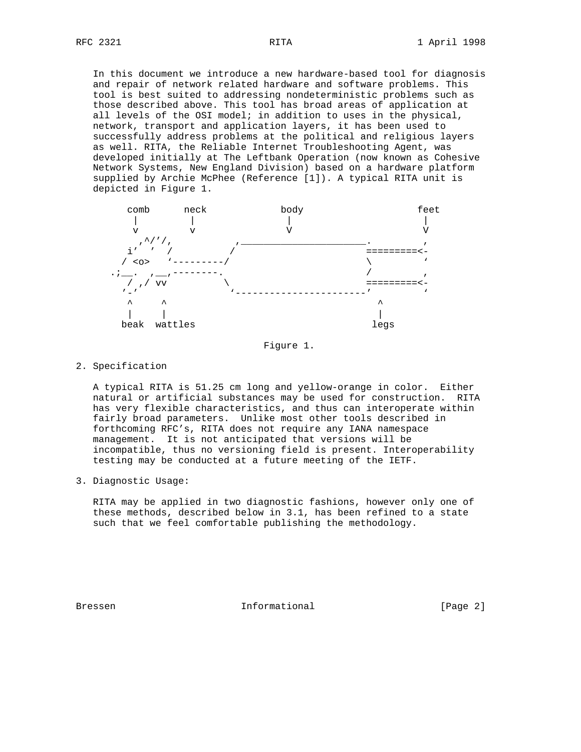In this document we introduce a new hardware-based tool for diagnosis and repair of network related hardware and software problems. This tool is best suited to addressing nondeterministic problems such as those described above. This tool has broad areas of application at all levels of the OSI model; in addition to uses in the physical, network, transport and application layers, it has been used to successfully address problems at the political and religious layers as well. RITA, the Reliable Internet Troubleshooting Agent, was developed initially at The Leftbank Operation (now known as Cohesive Network Systems, New England Division) based on a hardware platform supplied by Archie McPhee (Reference [1]). A typical RITA unit is depicted in Figure 1.



Figure 1.

2. Specification

 A typical RITA is 51.25 cm long and yellow-orange in color. Either natural or artificial substances may be used for construction. RITA has very flexible characteristics, and thus can interoperate within fairly broad parameters. Unlike most other tools described in forthcoming RFC's, RITA does not require any IANA namespace management. It is not anticipated that versions will be incompatible, thus no versioning field is present. Interoperability testing may be conducted at a future meeting of the IETF.

3. Diagnostic Usage:

 RITA may be applied in two diagnostic fashions, however only one of these methods, described below in 3.1, has been refined to a state such that we feel comfortable publishing the methodology.

Bressen 10 Informational 1996 (Page 2)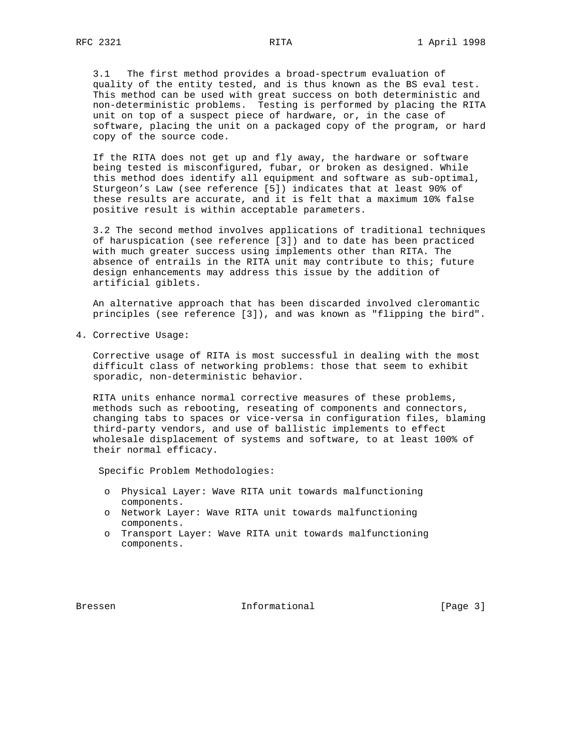3.1 The first method provides a broad-spectrum evaluation of quality of the entity tested, and is thus known as the BS eval test. This method can be used with great success on both deterministic and non-deterministic problems. Testing is performed by placing the RITA unit on top of a suspect piece of hardware, or, in the case of software, placing the unit on a packaged copy of the program, or hard copy of the source code.

 If the RITA does not get up and fly away, the hardware or software being tested is misconfigured, fubar, or broken as designed. While this method does identify all equipment and software as sub-optimal, Sturgeon's Law (see reference [5]) indicates that at least 90% of these results are accurate, and it is felt that a maximum 10% false positive result is within acceptable parameters.

 3.2 The second method involves applications of traditional techniques of haruspication (see reference [3]) and to date has been practiced with much greater success using implements other than RITA. The absence of entrails in the RITA unit may contribute to this; future design enhancements may address this issue by the addition of artificial giblets.

 An alternative approach that has been discarded involved cleromantic principles (see reference [3]), and was known as "flipping the bird".

4. Corrective Usage:

 Corrective usage of RITA is most successful in dealing with the most difficult class of networking problems: those that seem to exhibit sporadic, non-deterministic behavior.

 RITA units enhance normal corrective measures of these problems, methods such as rebooting, reseating of components and connectors, changing tabs to spaces or vice-versa in configuration files, blaming third-party vendors, and use of ballistic implements to effect wholesale displacement of systems and software, to at least 100% of their normal efficacy.

Specific Problem Methodologies:

- o Physical Layer: Wave RITA unit towards malfunctioning components.
- o Network Layer: Wave RITA unit towards malfunctioning components.
- o Transport Layer: Wave RITA unit towards malfunctioning components.

Bressen 10 Informational 1996 [Page 3]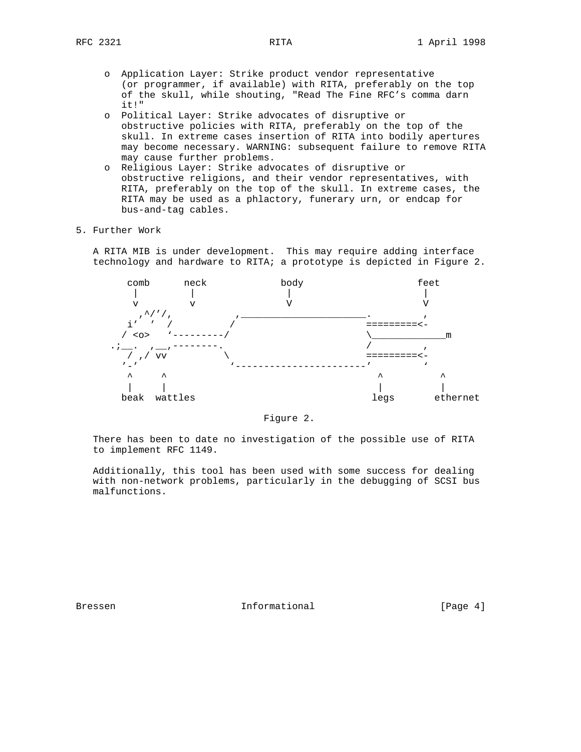- o Application Layer: Strike product vendor representative (or programmer, if available) with RITA, preferably on the top of the skull, while shouting, "Read The Fine RFC's comma darn it!"
- o Political Layer: Strike advocates of disruptive or obstructive policies with RITA, preferably on the top of the skull. In extreme cases insertion of RITA into bodily apertures may become necessary. WARNING: subsequent failure to remove RITA may cause further problems.
- o Religious Layer: Strike advocates of disruptive or obstructive religions, and their vendor representatives, with RITA, preferably on the top of the skull. In extreme cases, the RITA may be used as a phlactory, funerary urn, or endcap for bus-and-tag cables.
- 5. Further Work

 A RITA MIB is under development. This may require adding interface technology and hardware to RITA; a prototype is depicted in Figure 2.



Figure 2.

 There has been to date no investigation of the possible use of RITA to implement RFC 1149.

 Additionally, this tool has been used with some success for dealing with non-network problems, particularly in the debugging of SCSI bus malfunctions.

Bressen 10 Informational 1996 [Page 4]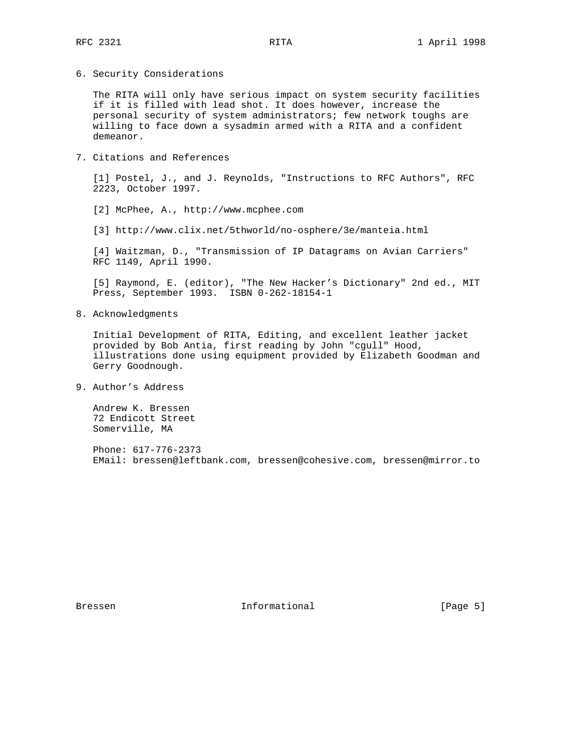6. Security Considerations

 The RITA will only have serious impact on system security facilities if it is filled with lead shot. It does however, increase the personal security of system administrators; few network toughs are willing to face down a sysadmin armed with a RITA and a confident demeanor.

7. Citations and References

 [1] Postel, J., and J. Reynolds, "Instructions to RFC Authors", RFC 2223, October 1997.

[2] McPhee, A., http://www.mcphee.com

[3] http://www.clix.net/5thworld/no-osphere/3e/manteia.html

 [4] Waitzman, D., "Transmission of IP Datagrams on Avian Carriers" RFC 1149, April 1990.

 [5] Raymond, E. (editor), "The New Hacker's Dictionary" 2nd ed., MIT Press, September 1993. ISBN 0-262-18154-1

8. Acknowledgments

 Initial Development of RITA, Editing, and excellent leather jacket provided by Bob Antia, first reading by John "cgull" Hood, illustrations done using equipment provided by Elizabeth Goodman and Gerry Goodnough.

9. Author's Address

 Andrew K. Bressen 72 Endicott Street Somerville, MA

 Phone: 617-776-2373 EMail: bressen@leftbank.com, bressen@cohesive.com, bressen@mirror.to

Bressen 10 Informational 1996 [Page 5]